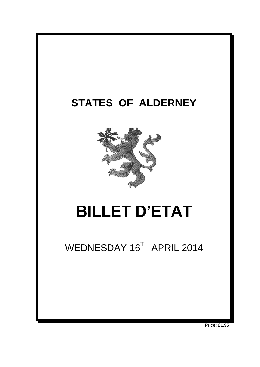

**Price: £1.95**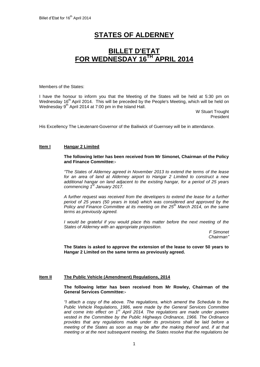# **STATES OF ALDERNEY**

# **BILLET D'ETAT FOR WEDNESDAY 16 TH APRIL 2014**

Members of the States:

I have the honour to inform you that the Meeting of the States will be held at 5:30 pm on Wednesday 16<sup>th</sup> April 2014. This will be preceded by the People's Meeting, which will be held on Wednesday 9<sup>th</sup> April 2014 at 7:00 pm in the Island Hall.

> W Stuart Trought President

His Excellency The Lieutenant-Governor of the Bailiwick of Guernsey will be in attendance.

# **Item I Hangar 2 Limited**

### **The following letter has been received from Mr Simonet, Chairman of the Policy and Finance Committee:-**

*"The States of Alderney agreed in November 2013 to extend the terms of the lease for an area of land at Alderney airport to Hangar 2 Limited to construct a new additional hangar on land adjacent to the existing hangar, for a period of 25 years commencing 1st January 2017.* 

*A further request was received from the developers to extend the lease for a further period of 25 years (50 years in total) which was considered and approved by the Policy and Finance Committee at its meeting on the 25th March 2014, on the same terms as previously agreed.*

*I would be grateful if you would place this matter before the next meeting of the States of Alderney with an appropriate proposition.*

> *F Simonet Chairman"*

**The States is asked to approve the extension of the lease to cover 50 years to Hangar 2 Limited on the same terms as previously agreed.**

# **Item II The Public Vehicle (Amendment) Regulations, 2014**

**The following letter has been received from Mr Rowley, Chairman of the General Services Committee:-**

*"I attach a copy of the above. The regulations, which amend the Schedule to the Public Vehicle Regulations, 1986, were made by the General Services Committee and come into effect on 1st April 2014. The regulations are made under powers vested in the Committee by the Public Highways Ordinance, 1966. The Ordinance provides that any regulations made under its provisions shall be laid before a meeting of the States as soon as may be after the making thereof and, if at that meeting or at the next subsequent meeting, the States resolve that the regulations be*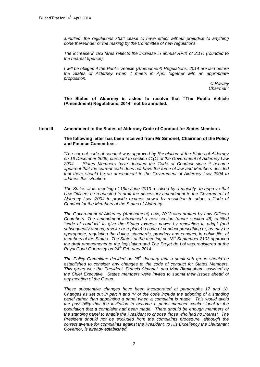*annulled, the regulations shall cease to have effect without prejudice to anything done thereunder or the making by the Committee of new regulations.*

*The increase in taxi fares reflects the increase in annual RPIX of 2.1% (rounded to the nearest 5pence).* 

*I will be obliged if the Public Vehicle (Amendment) Regulations, 2014 are laid before the States of Alderney when it meets in April together with an appropriate proposition.*

> *C Rowley Chairman"*

**The States of Alderney is asked to resolve that "The Public Vehicle (Amendment) Regulations, 2014" not be annulled.** 

#### **Item III Amendment to the States of Alderney Code of Conduct for States Members**

### **The following letter has been received from Mr Simonet, Chairman of the Policy and Finance Committee:-**

*"The current code of conduct was approved by Resolution of the States of Alderney on 16 December 2009, pursuant to section 41(1) of the Government of Alderney Law 2004. States Members have debated the Code of Conduct since it became apparent that the current code does not have the force of law and Members decided that there should be an amendment to the Government of Alderney Law 2004 to address this situation.*

*The States at its meeting of 19th June 2013 resolved by a majority to approve that*  Law Officers be requested to draft the necessary amendment to the Government of *Alderney Law, 2004 to provide express power by resolution to adopt a Code of Conduct for the Members of the States of Alderney.* 

*The Government of Alderney (Amendment) Law, 2013 was drafted by Law Officers Chambers. The amendment introduced a new section (under section 48) entitled "code of conduct" to give the States express power by resolution to adopt (and subsequently amend, revoke or replace) a code of conduct prescribing or, as may be appropriate, regulating the duties, standards, propriety and conduct, in public life, of members of the States. The States at the meeting on 18th September 2103 approved the draft amendments to the legislation and The Projet de Loi was registered at the Royal Court Guernsey on 24th February 2014.*

*The Policy Committee decided on 28th January that a small sub group should be established to consider any changes to the code of conduct for States Members. This group was the President, Francis Simonet, and Matt Birmingham, assisted by the Chief Executive. States members were invited to submit their issues ahead of any meeting of the Group.* 

*These substantive changes have been incorporated at paragraphs 17 and 18. Changes as set out in part II and IV of the code include the adopting of a standing panel rather than appointing a panel when a complaint is made. This would avoid the possibility that the invitation to become a panel member would signal to the population that a complaint had been made. There should be enough members of the standing panel to enable the President to choose those who had no interest. The President should not be excluded from the complaints procedure, although the correct avenue for complaints against the President, to His Excellency the Lieutenant Governor, is already established.*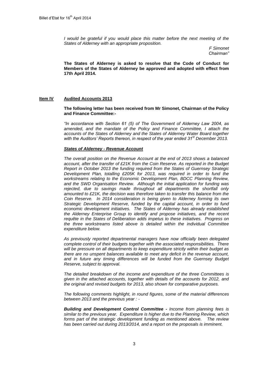*I* would be grateful if you would place this matter before the next meeting of the *States of Alderney with an appropriate proposition.*

> *F Simonet Chairman"*

**The States of Alderney is asked to resolve that the Code of Conduct for Members of the States of Alderney be approved and adopted with effect from 17th April 2014.**

# **Item IV Audited Accounts 2013**

**The following letter has been received from Mr Simonet, Chairman of the Policy and Finance Committee:-**

*"In accordance with Section 61 (5) of The Government of Alderney Law 2004, as*  amended, and the mandate of the Policy and Finance Committee, I attach the *accounts of the States of Alderney and the States of Alderney Water Board together with the Auditors' Reports thereon, in respect of the year ended 31st December 2013.*

# *States of Alderney - Revenue Account*

*The overall position on the Revenue Account at the end of 2013 shows a balanced account, after the transfer of £21K from the Coin Reserve. As reported in the Budget Report in October 2013 the funding required from the States of Guernsey Strategic Development Plan, totalling £205K for 2013, was required in order to fund the workstreams relating to the Economic Development Plan, BDCC Planning Review, and the SWD Organisation Review. Although the initial application for funding was rejected, due to savings made throughout all departments the shortfall only amounted to £21K, the decision was therefore taken to transfer this balance from the Coin Reserve. In 2014 consideration is being given to Alderney forming its own Strategic Development Reserve, funded by the capital account, in order to fund economic development initiatives. The States of Alderney has already established the Alderney Enterprise Group to identify and propose initiatives, and the recent requête in the States of Deliberation adds impetus to these initiatives. Progress on the three workstreams listed above is detailed within the individual Committee expenditure below.*

*As previously reported departmental managers have now officially been delegated complete control of their budgets together with the associated responsibilities. There will be pressure on all departments to keep expenditure strictly within their budget as there are no unspent balances available to meet any deficit in the revenue account,*  and in future any timing differences will be funded from the Guernsey Budget *Reserve, subject to approval.* 

*The detailed breakdown of the income and expenditure of the three Committees is given in the attached accounts, together with details of the accounts for 2012, and the original and revised budgets for 2013, also shown for comparative purposes.*

*The following comments highlight, in round figures, some of the material differences between 2013 and the previous year : -*

*Building and Development Control Committee - Income from planning fees is similar to the previous year. Expenditure is higher due to the Planning Review, which forms part of the strategic development funding as mentioned above. The review has been carried out during 2013/2014, and a report on the proposals is imminent.*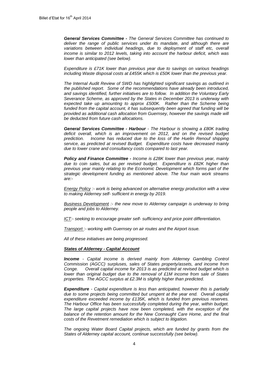*General Services Committee - The General Services Committee has continued to*  deliver the range of public services under its mandate, and although there are variations between individual headings, due to deployment of staff etc, overall *income is similar to 2012 levels, taking into account the harbour deficit, which was lower than anticipated (see below).* 

*Expenditure is £71K lower than previous year due to savings on various headings including Waste disposal costs at £455K which is £50K lower than the previous year.*

*The Internal Audit Review of SWD has highlighted significant savings as outlined in the published report. Some of the recommendations have already been introduced, and savings identified, further initiatives are to follow. In addition the Voluntary Early Severance Scheme, as approved by the States in December 2013 is underway with expected take up amounting to approx £500K. Rather than the Scheme being funded from the capital account, it has subsequently been agreed that funding will be provided as additional cash allocation from Guernsey, however the savings made will be deducted from future cash allocations.* 

*General Services Committee - Harbour - The Harbour is showing a £80K trading*  deficit overall, which is an improvement on 2012, and on the revised budget *prediction. Income has reduced due to the loss of the Huelin Renouf shipping service, as predicted at revised Budget. Expenditure costs have decreased mainly due to lower crane and consultancy costs compared to last year.* 

*Policy and Finance Committee - Income is £28K lower than previous year, mainly due to coin sales, but as per revised budget. Expenditure is £82K higher than previous year mainly relating to the Economic Development which forms part of the strategic development funding as mentioned above. The four main work streams are:-*

*Energy Policy :- work is being advanced on alternative energy production with a view to making Alderney self- sufficient in energy by 2019.*

*Business Development :- the new move to Alderney campaign is underway to bring people and jobs to Alderney.*

*ICT:- seeking to encourage greater self- sufficiency and price point differentiation.*

*Transport :- working with Guernsey on air routes and the Airport issue.*

*All of these initiatives are being progressed.*

# *States of Alderney - Capital Account*

*Income - Capital income is derived mainly from Alderney Gambling Control Commission (AGCC) surpluses, sales of States property/assets, and income from Conge. Overall capital income for 2013 is as predicted at revised budget which is lower than original budget due to the removal of £1M income from sale of States properties. The AGCC surplus at £2.3M is slightly higher than predicted.* 

*Expenditure - Capital expenditure is less than anticipated, however this is partially due to some projects being committed but unspent at the year end. Overall capital expenditure exceeded income by £135K, which is funded from previous reserves. The Harbour Office has been successfully completed during the year, within budget. The large capital projects have now been completed, with the exception of the*  balance of the retention amount for the New Connaught Care Home, and the final *costs of the Revetment remediation which is subject to litigation.*

*The ongoing Water Board Capital projects, which are funded by grants from the States of Alderney capital account, continue successfully (see below).*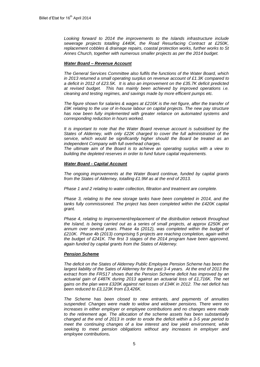*Looking forward to 2014 the improvements to the Islands infrastructure include sewerage projects totalling £440K, the Road Resurfacing Contract at £250K, replacement cobbles & drainage repairs, coastal protection works, further works to St Annes Church, together with numerous smaller projects as per the 2014 budget.*

### *Water Board – Revenue Account*

*The General Services Committee also fulfils the functions of the Water Board, which in 2013 returned a small operating surplus on revenue account of £1.3K compared to a deficit in 2012 of £23.5K. It is also an improvement on the £35.7K deficit predicted at revised budget. This has mainly been achieved by improved operations i.e. cleaning and testing regimes, and savings made by more efficient pumps etc.*

*The figure shown for salaries & wages at £216K is the net figure, after the transfer of £9K relating to the use of in-house labour on capital projects. The new pay structure*  has now been fully implemented with greater reliance on automated systems and *corresponding reduction in hours worked.*

*It is important to note that the Water Board revenue account is subsidised by the States of Alderney, with only £22K charged to cover the full administration of the service, which would be significantly higher should the Board be treated as an independent Company with full overhead charges.*

*The ultimate aim of the Board is to achieve an operating surplus with a view to building the depleted reserves in order to fund future capital requirements.*

#### *Water Board - Capital Account*

*The ongoing improvements at the Water Board continue, funded by capital grants from the States of Alderney, totalling £1.9M as at the end of 2013.* 

*Phase 1 and 2 relating to water collection, filtration and treatment are complete.* 

*Phase 3, relating to the new storage tanks have been completed in 2014, and the tanks fully commissioned. The project has been completed within the £420K capital grant.*

*Phase 4, relating to improvement/replacement of the distribution network throughout the Island, is being carried out as a series of small projects, at approx £250K per*  annum over several years. Phase 4a (2012), was completed within the budget of *£210K. Phase 4b (2013) comprising 5 projects are reaching completion, again within the budget of £241K. The first 3 stages of the 2014 program have been approved, again funded by capital grants from the States of Alderney.* 

# *Pension Scheme*

*The deficit on the States of Alderney Public Employee Pension Scheme has been the*  largest liability of the Sates of Alderney for the past 3-4 years. At the end of 2013 the *extract from the FRS17 shows that the Pension Scheme deficit has improved by an actuarial gain of £487K during 2013 against an actuarial loss of £1,716K. The net gains on the plan were £320K against net losses of £34K in 2012. The net deficit has been reduced to £3,123K from £3,426K.* 

*The Scheme has been closed to new entrants, and payments of annuities suspended. Changes were made to widow and widower pensions. There were no increases in either employer or employee contributions and no changes were made to the retirement age. The allocation of the scheme assets has been substantially changed at the end of 2013 in order to erode the deficit within a 3-5 year period to meet the continuing changes of a low interest and low yield environment, while seeking to meet pension obligations without any increases in employer and employee contributions.*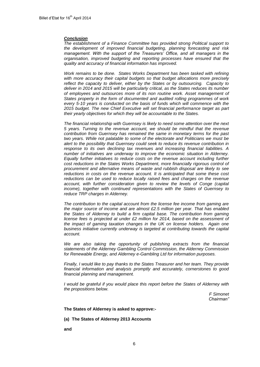#### *Conclusion*

*The establishment of a Finance Committee has provided strong Political support to the development of improved financial budgeting, planning forecasting and risk management. With the support of the Treasurers' Office, and all managers in the organisation, improved budgeting and reporting processes have ensured that the quality and accuracy of financial information has improved.* 

*Work remains to be done. States Works Department has been tasked with refining with more accuracy their capital budgets so that budget allocations more precisely reflect the capacity to deliver, either by the States or by outsourcing. Capacity to deliver in 2014 and 2015 will be particularly critical, as the States reduces its number of employees and outsources more of its non routine work. Asset management of States property in the form of documented and audited rolling programmes of work every 5-10 years is conducted on the basis of funds which will commence with the 2015 budget. The new Chief Executive will set financial performance target as part their yearly objectives for which they will be accountable to the States.*

*The financial relationship with Guernsey is likely to need some attention over the next 5 years. Turning to the revenue account, we should be mindful that the revenue contribution from Guernsey has remained the same in monetary terms for the past two years. While not palatable to some of the electorate and Politicians we must be alert to the possibility that Guernsey could seek to reduce its revenue contribution in response to its own declining tax revenues and increasing financial liabilities. A number of initiatives are underway to improve the economic situation in Alderney. Equally further initiatives to reduce costs on the revenue account including further*  cost reductions in the States Works Department, more financially rigorous control of *procurement and alternative means of waste and rubbish disposal are likely to see reductions in costs on the revenue account. It is anticipated that some these cost reductions can be used to reduce locally raised fees and charges on the revenue account, with further consideration given to review the levels of Conge (capital income), together with continued representations with the States of Guernsey to reduce TRP charges in Alderney.* 

*The contribution to the capital account from the license fee income from gaming are the major source of income and are almost £2.5 million per year. That has enabled the States of Alderney to build a firm capital base. The contribution from gaming license fees is projected at under £2 million for 2014, based on the assessment of the impact of gaming taxation changes in the UK on license holders. Again one business initiative currently underway is targeted at contributing towards the capital account.*

We are also taking the opportunity of publishing extracts from the financial *statements of the Alderney Gambling Control Commission, the Alderney Commission for Renewable Energy, and Alderney e-Gambling Ltd for information purposes.* 

*Finally, I would like to pay thanks to the States Treasurer and her team. They provide financial information and analysis promptly and accurately, cornerstones to good financial planning and management.* 

*I* would be grateful if you would place this report before the States of Alderney with *the propositions below.*

*F Simonet Chairman"*

**The States of Alderney is asked to approve:-**

**(a) The States of Alderney 2013 Accounts**

**and**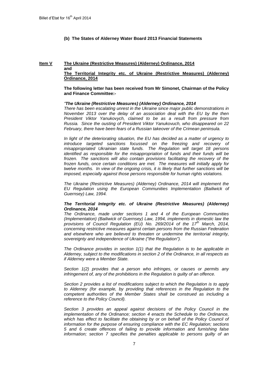**(b) The States of Alderney Water Board 2013 Financial Statements**

#### **Item V The Ukraine (Restrictive Measures) (Alderney) Ordinance, 2014 and The Territorial Integrity etc. of Ukraine (Restrictive Measures) (Alderney) Ordinance, 2014**

# **The following letter has been received from Mr Simonet, Chairman of the Policy and Finance Committee:-**

#### *"The Ukraine (Restrictive Measures) (Alderney) Ordinance, 2014*

*There has been escalating unrest in the Ukraine since major public demonstrations in November 2013 over the delay of an association deal with the EU by the then President Viktor Yanukovych, claimed to be as a result from pressure from Russia. Since the ousting of President Viktor Yanukovuch, who disappeared on 22 February, there have been fears of a Russian takeover of the Crimean peninsula.* 

*In light of the deteriorating situation, the EU has decided as a matter of urgency to introduce targeted sanctions focussed on the freezing and recovery of misappropriated Ukrainian state funds. The Regulation will target 18 persons identified as responsible for the misappropriation of funds and their funds will be frozen. The sanctions will also contain provisions facilitating the recovery of the frozen funds, once certain conditions are met. The measures will initially apply for twelve months. In view of the ongoing crisis, it is likely that further sanctions will be imposed, especially against those persons responsible for human rights violations.*

*The Ukraine (Restrictive Measures) (Alderney) Ordinance, 2014 will implement the EU Regulation using the European Communities Implementation (Bailiwick of Guernsey) Law, 1994.*

# *The Territorial Integrity etc. of Ukraine (Restrictive Measures) (Alderney) Ordinance, 2014*

*The Ordinance, made under sections 1 and 4 of the European Communities (Implementation) (Bailiwick of Guernsey) Law, 1994, implements in domestic law the provisions of Council Regulation (EU) No. 269/2014 of the 17th March, 2014, concerning restrictive measures against certain persons from the Russian Federation and elsewhere who are believed to threaten or undermine the territorial integrity, sovereignty and independence of Ukraine ("the Regulation").*

*The Ordinance provides in section 1(1) that the Regulation is to be applicable in Alderney, subject to the modifications in section 2 of the Ordinance, in all respects as if Alderney were a Member State.*

*Section 1(2) provides that a person who infringes, or causes or permits any infringement of, any of the prohibitions in the Regulation is guilty of an offence.*

*Section 2 provides a list of modifications subject to which the Regulation is to apply*  to Alderney (for example, by providing that references in the Regulation to the *competent authorities of the Member States shall be construed as including a reference to the Policy Council).*

*Section 3 provides an appeal against decisions of the Policy Council in the implementation of the Ordinance; section 4 enacts the Schedule to the Ordinance,*  which has effect to facilitate the obtaining by or on behalf of the Policy Council of *information for the purpose of ensuring compliance with the EC Regulation; sections 5 and 6 create offences of failing to provide information and furnishing false information; section 7 specifies the penalties applicable to persons guilty of an*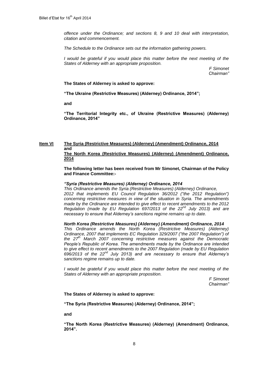*offence under the Ordinance; and sections 8, 9 and 10 deal with interpretation, citation and commencement.*

*The Schedule to the Ordinance sets out the information gathering powers.*

*I* would be grateful if you would place this matter before the next meeting of the *States of Alderney with an appropriate proposition.*

> *F Simonet Chairman"*

**The States of Alderney is asked to approve:**

**"The Ukraine (Restrictive Measures) (Alderney) Ordinance, 2014";** 

**and** 

**"The Territorial Integrity etc., of Ukraine (Restrictive Measures) (Alderney) Ordinance, 2014"**

### **Item VI The Syria (Restrictive Measures) (Alderney) (Amendment) Ordinance, 2014 and The North Korea (Restrictive Measures) (Alderney) (Amendment) Ordinance, 2014**

**The following letter has been received from Mr Simonet, Chairman of the Policy and Finance Committee:-**

# *"Syria (Restrictive Measures) (Alderney) Ordinance, 2014*

*This Ordinance amends the Syria (Restrictive Measures) (Alderney) Ordinance, 2012 that implements EU Council Regulation 36/2012 ("the 2012 Regulation") concerning restrictive measures in view of the situation in Syria. The amendments made by the Ordinance are intended to give effect to recent amendments to the 2012 Regulation (made by EU Regulation 697/2013 of the 22nd July 2013) and are necessary to ensure that Alderney's sanctions regime remains up to date.*

# *North Korea (Restrictive Measures) (Alderney) (Amendment) Ordinance, 2014*

*This Ordinance amends the North Korea (Restrictive Measures) (Alderney) Ordinance, 2007 that implements EC Regulation 329/2007 ("the 2007 Regulation") of the 27th March 2007 concerning restrictive measures against the Democratic People's Republic of Korea. The amendments made by the Ordinance are intended to give effect to recent amendments to the 2007 Regulation (made by EU Regulation 696/2013 of the 22nd July 2013) and are necessary to ensure that Alderney's sanctions regime remains up to date.*

*I* would be grateful if you would place this matter before the next meeting of the *States of Alderney with an appropriate proposition.*

> *F Simonet Chairman"*

**The States of Alderney is asked to approve:**

**"The Syria (Restrictive Measures) (Alderney) Ordinance, 2014";** 

**and**

**"The North Korea (Restrictive Measures) (Alderney) (Amendment) Ordinance, 2014".**